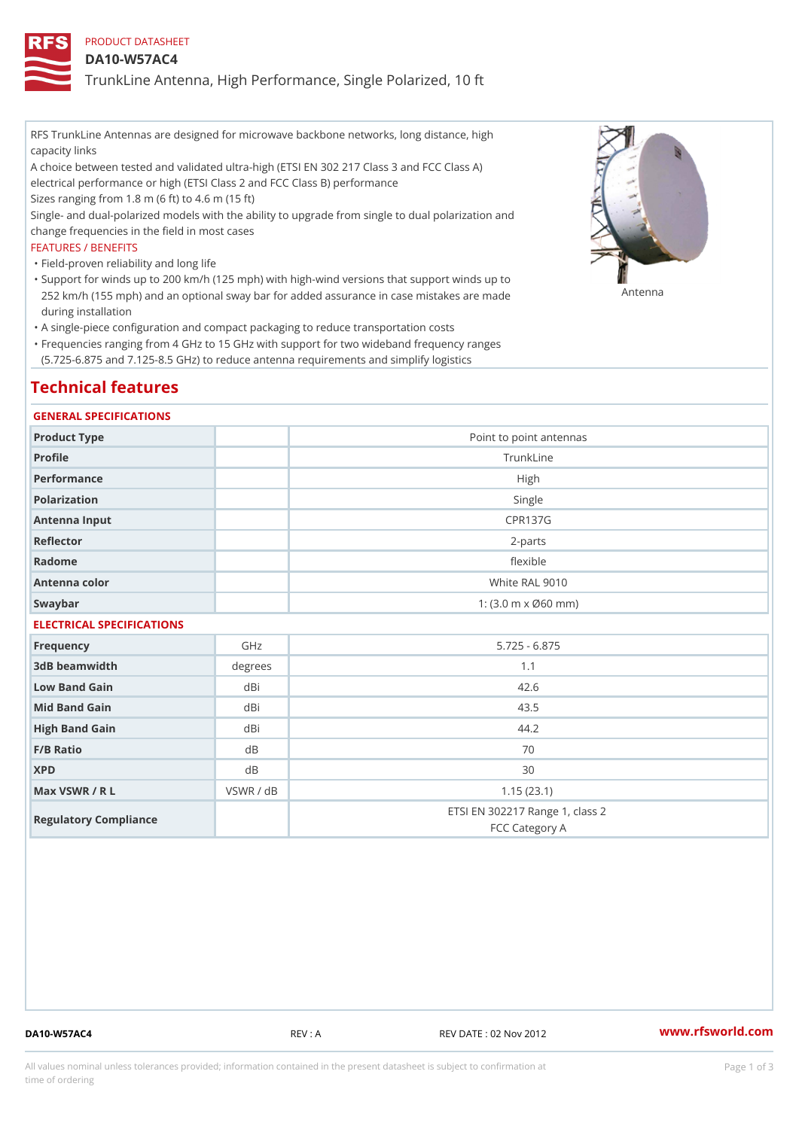## PRODUCT DATASHEET

### DA10-W57AC4

TrunkLine Antenna, High Performance, Single Polarized, 10 ft

RFS TrunkLine Antennas are designed for microwave backbone networks, long distance, high capacity links

A choice between tested and validated ultra-high (ETSI EN 302 217 Class 3 and FCC Class A) electrical performance or high (ETSI Class 2 and FCC Class B) performance

Sizes ranging from 1.8 m (6 ft) to 4.6 m (15 ft)

Single- and dual-polarized models with the ability to upgrade from single to dual polarization and change frequencies in the field in most cases

### FEATURES / BENEFITS

"Field-proven reliability and long life

- Support for winds up to 200 km/h (125 mph) with high-wind versions that support winds up to " 252 km/h (155 mph) and an optional sway bar for added assurance in case m 48 #8 R B & are made during installation
- "A single-piece configuration and compact packaging to reduce transportation costs
- Frequencies ranging from 4 GHz to 15 GHz with support for two wideband frequency ranges " (5.725-6.875 and 7.125-8.5 GHz) to reduce antenna requirements and simplify logistics

# Technical features

### GENERAL SPECIFICATIONS

| Product Type  | Point to point antennas                                 |
|---------------|---------------------------------------------------------|
| Profile       | TrunkLine                                               |
| Performance   | High                                                    |
| Polarization  | Single                                                  |
| Antenna Input | CPR137G                                                 |
| Reflector     | $2 - p$ arts                                            |
| Radome        | flexible                                                |
| Antenna color | White RAL 9010                                          |
| Swaybar       | 1: $(3.0 \, \text{m} \times \emptyset 60 \, \text{mm})$ |
|               |                                                         |

# ELECTRICAL SPECIFICATIONS

| Frequency             | GHz       | $5.725 - 6.875$                                   |
|-----------------------|-----------|---------------------------------------------------|
| 3dB beamwidth         | degree    | 1.1                                               |
| Low Band Gain         | dBi       | 42.6                                              |
| Mid Band Gain         | dBi       | 43.5                                              |
| High Band Gain        | dBi       | 44.2                                              |
| $F/B$ Ratio           | d B       | 70                                                |
| <b>XPD</b>            | d B       | 30                                                |
| Max VSWR / R L        | VSWR / dB | 1.15(23.1)                                        |
| Regulatory Compliance |           | ETSI EN 302217 Range 1, class 2<br>FCC Category A |

DA10-W57AC4 REV : A REV DATE : 02 Nov 2012 [www.](https://www.rfsworld.com)rfsworld.com

All values nominal unless tolerances provided; information contained in the present datasheet is subject to Pcapgeign mation time of ordering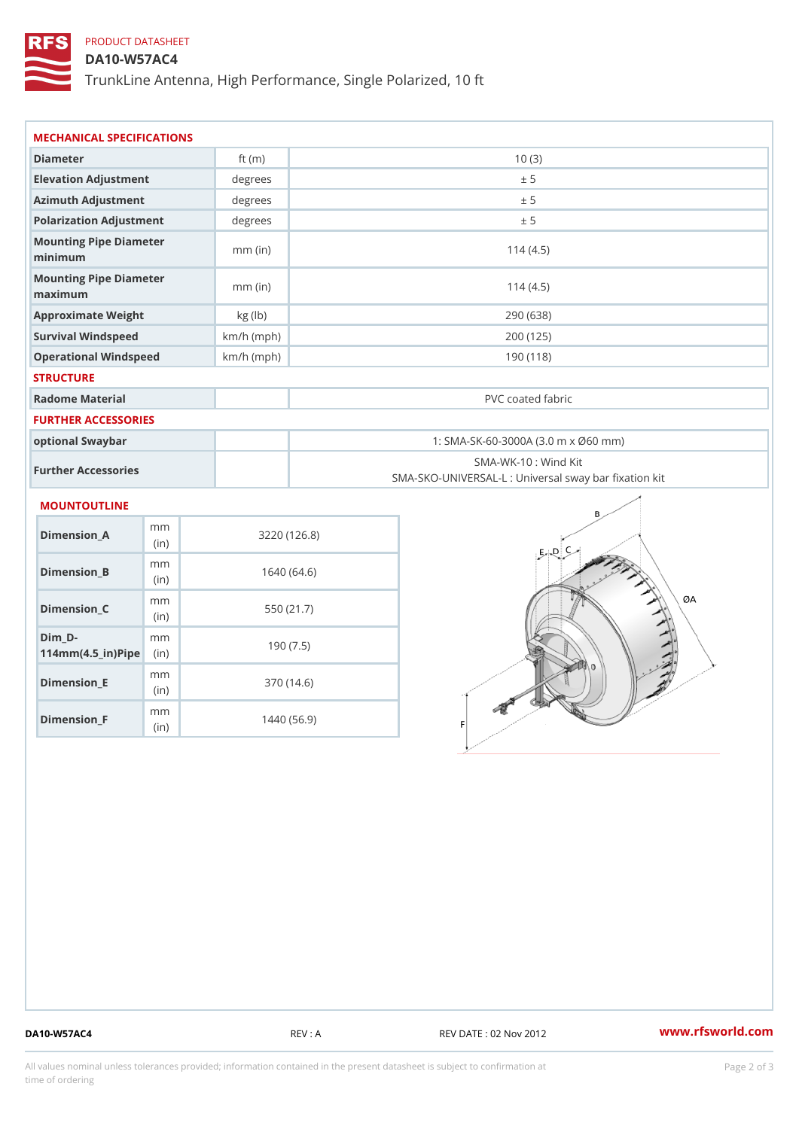# PRODUCT DATASHEET

## DA10-W57AC4

TrunkLine Antenna, High Performance, Single Polarized, 10 ft

| MECHANICAL SPECIFICATIONS                                    |             |              |                                                                          |  |  |
|--------------------------------------------------------------|-------------|--------------|--------------------------------------------------------------------------|--|--|
| Diameter                                                     |             | ft $(m)$     | 10(3)                                                                    |  |  |
| Elevation Adjustment                                         |             | degrees      | ± 5                                                                      |  |  |
| Azimuth Adjustment                                           |             | degrees      | ± 5                                                                      |  |  |
| Polarization Adjustment                                      |             | degrees      | ± 5                                                                      |  |  |
| Mounting Pipe Diameter<br>minimum                            |             | $mm$ (in)    | 114(4.5)                                                                 |  |  |
| Mounting Pipe Diameter<br>maximum                            |             | $mm$ (in)    | 114(4.5)                                                                 |  |  |
| Approximate Weight                                           |             | kg (lb)      | 290 (638)                                                                |  |  |
| Survival Windspeed                                           |             | $km/h$ (mph) | 200 (125)                                                                |  |  |
| Operational Windspeed                                        |             | $km/h$ (mph) | 190(118)                                                                 |  |  |
| <b>STRUCTURE</b>                                             |             |              |                                                                          |  |  |
| Radome Material                                              |             |              | PVC coated fabric                                                        |  |  |
| FURTHER ACCESSORIES                                          |             |              |                                                                          |  |  |
| optional Swaybar                                             |             |              | 1: SMA-SK-60-3000A (3.0 m x Ø60 mm)                                      |  |  |
| Further Accessories                                          |             |              | SMA-WK-10: Wind Kit<br>SMA-SKO-UNIVERSAL-L : Universal sway bar fixation |  |  |
| MOUNTOUTLINE                                                 |             |              |                                                                          |  |  |
| Dimension_A                                                  | m m<br>(in) |              | 3220(126.8)                                                              |  |  |
| $Dimension_B$                                                | m m<br>(in) |              | 1640(64.6)                                                               |  |  |
| Dimension_C                                                  | m m<br>(in) |              | 550 (21.7)                                                               |  |  |
| $Dim_D -$<br>$114$ m m (4.5_ir) $\mathbb{R}$ in $\mathbb{R}$ | m m         |              | 190(7.5)                                                                 |  |  |
| <b>Brand Controller</b>                                      | m m         |              | 0.701410                                                                 |  |  |

Dimension\_E

Dimension\_F

(in)

m<sub>m</sub> (in)

370 (14.6)

1440 (56.9)

DA10-W57AC4 REV : A REV DATE : 02 Nov 2012 [www.](https://www.rfsworld.com)rfsworld.com